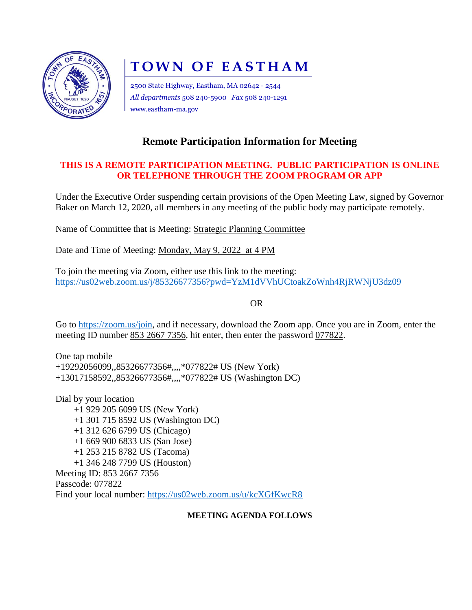

# **TOWN OF EASTHAM**

2500 State Highway, Eastham, MA 02642 - 2544 *All departments* 508 240-5900 *Fax* 508 240-1291 www.eastham-ma.gov

# **Remote Participation Information for Meeting**

## **THIS IS A REMOTE PARTICIPATION MEETING. PUBLIC PARTICIPATION IS ONLINE OR TELEPHONE THROUGH THE ZOOM PROGRAM OR APP**

Under the Executive Order suspending certain provisions of the Open Meeting Law, signed by Governor Baker on March 12, 2020, all members in any meeting of the public body may participate remotely.

Name of Committee that is Meeting: Strategic Planning Committee

Date and Time of Meeting: Monday, May 9, 2022 at 4 PM

To join the meeting via Zoom, either use this link to the meeting: <https://us02web.zoom.us/j/85326677356?pwd=YzM1dVVhUCtoakZoWnh4RjRWNjU3dz09>

OR

Go to [https://zoom.us/join,](https://zoom.us/join) and if necessary, download the Zoom app. Once you are in Zoom, enter the meeting ID number 853 2667 7356, hit enter, then enter the password 077822.

One tap mobile +19292056099,,85326677356#,,,,\*077822# US (New York) +13017158592,,85326677356#,,,,\*077822# US (Washington DC)

Dial by your location +1 929 205 6099 US (New York) +1 301 715 8592 US (Washington DC) +1 312 626 6799 US (Chicago) +1 669 900 6833 US (San Jose) +1 253 215 8782 US (Tacoma) +1 346 248 7799 US (Houston) Meeting ID: 853 2667 7356 Passcode: 077822 Find your local number:<https://us02web.zoom.us/u/kcXGfKwcR8>

### **MEETING AGENDA FOLLOWS**